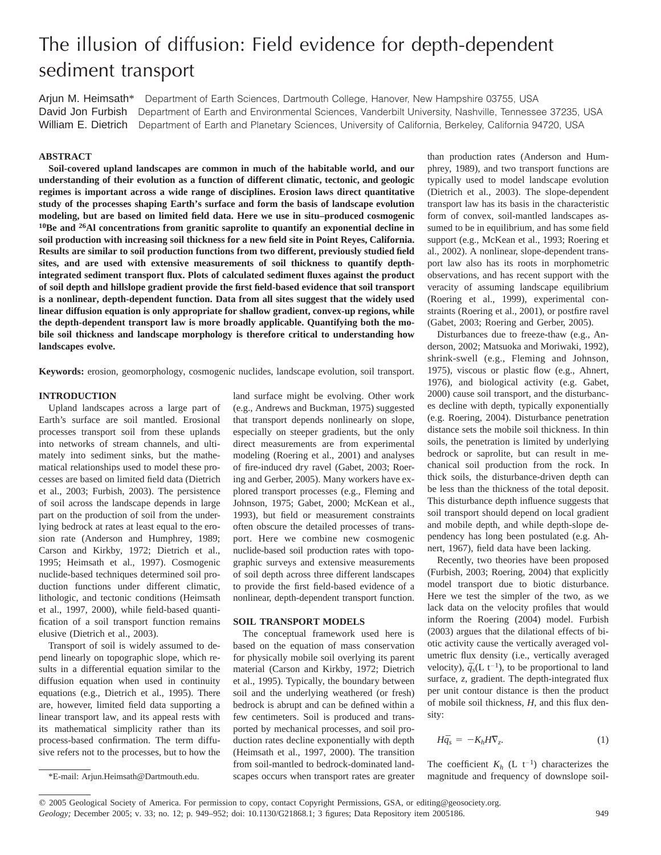# The illusion of diffusion: Field evidence for depth-dependent sediment transport

Arjun M. Heimsath\* Department of Earth Sciences, Dartmouth College, Hanover, New Hampshire 03755, USA David Jon Furbish Department of Earth and Environmental Sciences, Vanderbilt University, Nashville, Tennessee 37235, USA William E. Dietrich Department of Earth and Planetary Sciences, University of California, Berkeley, California 94720, USA

#### **ABSTRACT**

**Soil-covered upland landscapes are common in much of the habitable world, and our understanding of their evolution as a function of different climatic, tectonic, and geologic regimes is important across a wide range of disciplines. Erosion laws direct quantitative study of the processes shaping Earth's surface and form the basis of landscape evolution modeling, but are based on limited field data. Here we use in situ–produced cosmogenic 10Be and 26Al concentrations from granitic saprolite to quantify an exponential decline in soil production with increasing soil thickness for a new field site in Point Reyes, California. Results are similar to soil production functions from two different, previously studied field sites, and are used with extensive measurements of soil thickness to quantify depthintegrated sediment transport flux. Plots of calculated sediment fluxes against the product of soil depth and hillslope gradient provide the first field-based evidence that soil transport is a nonlinear, depth-dependent function. Data from all sites suggest that the widely used linear diffusion equation is only appropriate for shallow gradient, convex-up regions, while the depth-dependent transport law is more broadly applicable. Quantifying both the mobile soil thickness and landscape morphology is therefore critical to understanding how landscapes evolve.**

**Keywords:** erosion, geomorphology, cosmogenic nuclides, landscape evolution, soil transport.

#### **INTRODUCTION**

Upland landscapes across a large part of Earth's surface are soil mantled. Erosional processes transport soil from these uplands into networks of stream channels, and ultimately into sediment sinks, but the mathematical relationships used to model these processes are based on limited field data (Dietrich et al., 2003; Furbish, 2003). The persistence of soil across the landscape depends in large part on the production of soil from the underlying bedrock at rates at least equal to the erosion rate (Anderson and Humphrey, 1989; Carson and Kirkby, 1972; Dietrich et al., 1995; Heimsath et al., 1997). Cosmogenic nuclide-based techniques determined soil production functions under different climatic, lithologic, and tectonic conditions (Heimsath et al., 1997, 2000), while field-based quantification of a soil transport function remains elusive (Dietrich et al., 2003).

Transport of soil is widely assumed to depend linearly on topographic slope, which results in a differential equation similar to the diffusion equation when used in continuity equations (e.g., Dietrich et al., 1995). There are, however, limited field data supporting a linear transport law, and its appeal rests with its mathematical simplicity rather than its process-based confirmation. The term diffusive refers not to the processes, but to how the

land surface might be evolving. Other work (e.g., Andrews and Buckman, 1975) suggested that transport depends nonlinearly on slope, especially on steeper gradients, but the only direct measurements are from experimental modeling (Roering et al., 2001) and analyses of fire-induced dry ravel (Gabet, 2003; Roering and Gerber, 2005). Many workers have explored transport processes (e.g., Fleming and Johnson, 1975; Gabet, 2000; McKean et al., 1993), but field or measurement constraints often obscure the detailed processes of transport. Here we combine new cosmogenic nuclide-based soil production rates with topographic surveys and extensive measurements of soil depth across three different landscapes to provide the first field-based evidence of a nonlinear, depth-dependent transport function.

#### **SOIL TRANSPORT MODELS**

The conceptual framework used here is based on the equation of mass conservation for physically mobile soil overlying its parent material (Carson and Kirkby, 1972; Dietrich et al., 1995). Typically, the boundary between soil and the underlying weathered (or fresh) bedrock is abrupt and can be defined within a few centimeters. Soil is produced and transported by mechanical processes, and soil production rates decline exponentially with depth (Heimsath et al., 1997, 2000). The transition from soil-mantled to bedrock-dominated landscapes occurs when transport rates are greater

than production rates (Anderson and Humphrey, 1989), and two transport functions are typically used to model landscape evolution (Dietrich et al., 2003). The slope-dependent transport law has its basis in the characteristic form of convex, soil-mantled landscapes assumed to be in equilibrium, and has some field support (e.g., McKean et al., 1993; Roering et al., 2002). A nonlinear, slope-dependent transport law also has its roots in morphometric observations, and has recent support with the veracity of assuming landscape equilibrium (Roering et al., 1999), experimental constraints (Roering et al., 2001), or postfire ravel (Gabet, 2003; Roering and Gerber, 2005).

Disturbances due to freeze-thaw (e.g., Anderson, 2002; Matsuoka and Moriwaki, 1992), shrink-swell (e.g., Fleming and Johnson, 1975), viscous or plastic flow (e.g., Ahnert, 1976), and biological activity (e.g. Gabet, 2000) cause soil transport, and the disturbances decline with depth, typically exponentially (e.g. Roering, 2004). Disturbance penetration distance sets the mobile soil thickness. In thin soils, the penetration is limited by underlying bedrock or saprolite, but can result in mechanical soil production from the rock. In thick soils, the disturbance-driven depth can be less than the thickness of the total deposit. This disturbance depth influence suggests that soil transport should depend on local gradient and mobile depth, and while depth-slope dependency has long been postulated (e.g. Ahnert, 1967), field data have been lacking.

Recently, two theories have been proposed (Furbish, 2003; Roering, 2004) that explicitly model transport due to biotic disturbance. Here we test the simpler of the two, as we lack data on the velocity profiles that would inform the Roering (2004) model. Furbish (2003) argues that the dilational effects of biotic activity cause the vertically averaged volumetric flux density (i.e., vertically averaged velocity),  $\bar{q}_s(L t^{-1})$ , to be proportional to land surface, *z,* gradient. The depth-integrated flux per unit contour distance is then the product of mobile soil thickness, *H,* and this flux density:

$$
H\bar{q}_s = -K_h H \nabla_z.
$$
 (1)

The coefficient  $K_h$  (L t<sup>-1</sup>) characterizes the magnitude and frequency of downslope soil-

<sup>\*</sup>E-mail: Arjun.Heimsath@Dartmouth.edu.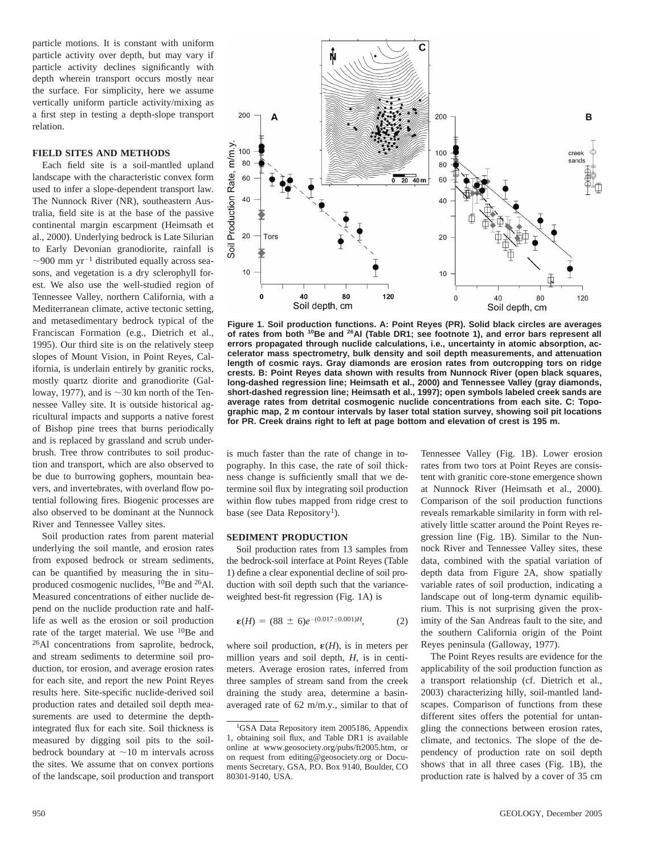particle motions. It is constant with uniform particle activity over depth, but may vary if particle activity declines significantly with depth wherein transport occurs mostly near the surface. For simplicity, here we assume vertically uniform particle activity/mixing as a first step in testing a depth-slope transport relation.

#### **FIELD SITES AND METHODS**

Each field site is a soil-mantled upland landscape with the characteristic convex form used to infer a slope-dependent transport law. The Nunnock River (NR), southeastern Australia, field site is at the base of the passive continental margin escarpment (Heimsath et al., 2000). Underlying bedrock is Late Silurian to Early Devonian granodiorite, rainfall is  $\sim$ 900 mm yr<sup>-1</sup> distributed equally across seasons, and vegetation is a dry sclerophyll forest. We also use the well-studied region of Tennessee Valley, northern California, with a Mediterranean climate, active tectonic setting, and metasedimentary bedrock typical of the Franciscan Formation (e.g., Dietrich et al., 1995). Our third site is on the relatively steep slopes of Mount Vision, in Point Reyes, California, is underlain entirely by granitic rocks, mostly quartz diorite and granodiorite (Galloway, 1977), and is  $\sim$ 30 km north of the Tennessee Valley site. It is outside historical agricultural impacts and supports a native forest of Bishop pine trees that burns periodically and is replaced by grassland and scrub underbrush. Tree throw contributes to soil production and transport, which are also observed to be due to burrowing gophers, mountain beavers, and invertebrates, with overland flow potential following fires. Biogenic processes are also observed to be dominant at the Nunnock River and Tennessee Valley sites.

Soil production rates from parent material underlying the soil mantle, and erosion rates from exposed bedrock or stream sediments, can be quantified by measuring the in situ– produced cosmogenic nuclides, 10Be and 26Al. Measured concentrations of either nuclide depend on the nuclide production rate and halflife as well as the erosion or soil production rate of the target material. We use <sup>10</sup>Be and 26Al concentrations from saprolite, bedrock, and stream sediments to determine soil production, tor erosion, and average erosion rates for each site, and report the new Point Reyes results here. Site-specific nuclide-derived soil production rates and detailed soil depth measurements are used to determine the depthintegrated flux for each site. Soil thickness is measured by digging soil pits to the soilbedrock boundary at  $\sim$ 10 m intervals across the sites. We assume that on convex portions of the landscape, soil production and transport



**Figure 1. Soil production functions. A: Point Reyes (PR). Solid black circles are averages of rates from both 10Be and 26Al (Table DR1; see footnote 1), and error bars represent all errors propagated through nuclide calculations, i.e., uncertainty in atomic absorption, accelerator mass spectrometry, bulk density and soil depth measurements, and attenuation length of cosmic rays. Gray diamonds are erosion rates from outcropping tors on ridge crests. B: Point Reyes data shown with results from Nunnock River (open black squares, long-dashed regression line; Heimsath et al., 2000) and Tennessee Valley (gray diamonds, short-dashed regression line; Heimsath et al., 1997); open symbols labeled creek sands are average rates from detrital cosmogenic nuclide concentrations from each site. C: Topographic map, 2 m contour intervals by laser total station survey, showing soil pit locations for PR. Creek drains right to left at page bottom and elevation of crest is 195 m.**

is much faster than the rate of change in topography. In this case, the rate of soil thickness change is sufficiently small that we determine soil flux by integrating soil production within flow tubes mapped from ridge crest to base (see Data Repository<sup>1</sup>).

#### **SEDIMENT PRODUCTION**

Soil production rates from 13 samples from the bedrock-soil interface at Point Reyes (Table 1) define a clear exponential decline of soil production with soil depth such that the varianceweighted best-fit regression (Fig. 1A) is

$$
\varepsilon(H) = (88 \pm 6)e^{-(0.017 \pm 0.001)H}, \tag{2}
$$

where soil production,  $\varepsilon(H)$ , is in meters per million years and soil depth, *H*, is in centimeters. Average erosion rates, inferred from three samples of stream sand from the creek draining the study area, determine a basinaveraged rate of 62 m/m.y., similar to that of Tennessee Valley (Fig. 1B). Lower erosion rates from two tors at Point Reyes are consistent with granitic core-stone emergence shown at Nunnock River (Heimsath et al., 2000). Comparison of the soil production functions reveals remarkable similarity in form with relatively little scatter around the Point Reyes regression line (Fig. 1B). Similar to the Nunnock River and Tennessee Valley sites, these data, combined with the spatial variation of depth data from Figure 2A, show spatially variable rates of soil production, indicating a landscape out of long-term dynamic equilibrium. This is not surprising given the proximity of the San Andreas fault to the site, and the southern California origin of the Point Reyes peninsula (Galloway, 1977).

The Point Reyes results are evidence for the applicability of the soil production function as a transport relationship (cf. Dietrich et al., 2003) characterizing hilly, soil-mantled landscapes. Comparison of functions from these different sites offers the potential for untangling the connections between erosion rates, climate, and tectonics. The slope of the dependency of production rate on soil depth shows that in all three cases (Fig. 1B), the production rate is halved by a cover of 35 cm

<sup>&</sup>lt;sup>1</sup>GSA Data Repository item 2005186, Appendix 1, obtaining soil flux, and Table DR1 is available online at www.geosociety.org/pubs/ft2005.htm, or on request from editing@geosociety.org or Documents Secretary, GSA, P.O. Box 9140, Boulder, CO 80301-9140, USA.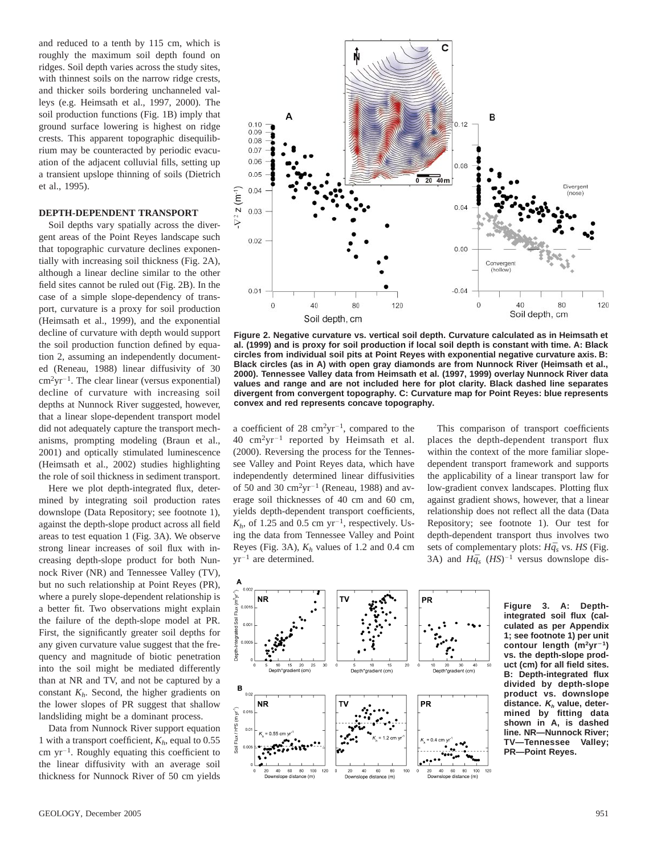and reduced to a tenth by 115 cm, which is roughly the maximum soil depth found on ridges. Soil depth varies across the study sites, with thinnest soils on the narrow ridge crests, and thicker soils bordering unchanneled valleys (e.g. Heimsath et al., 1997, 2000). The soil production functions (Fig. 1B) imply that ground surface lowering is highest on ridge crests. This apparent topographic disequilibrium may be counteracted by periodic evacuation of the adjacent colluvial fills, setting up a transient upslope thinning of soils (Dietrich et al., 1995).

#### **DEPTH-DEPENDENT TRANSPORT**

Soil depths vary spatially across the divergent areas of the Point Reyes landscape such that topographic curvature declines exponentially with increasing soil thickness (Fig. 2A), although a linear decline similar to the other field sites cannot be ruled out (Fig. 2B). In the case of a simple slope-dependency of transport, curvature is a proxy for soil production (Heimsath et al., 1999), and the exponential decline of curvature with depth would support the soil production function defined by equation 2, assuming an independently documented (Reneau, 1988) linear diffusivity of 30  $cm<sup>2</sup>yr<sup>-1</sup>$ . The clear linear (versus exponential) decline of curvature with increasing soil depths at Nunnock River suggested, however, that a linear slope-dependent transport model did not adequately capture the transport mechanisms, prompting modeling (Braun et al., 2001) and optically stimulated luminescence (Heimsath et al., 2002) studies highlighting the role of soil thickness in sediment transport.

Here we plot depth-integrated flux, determined by integrating soil production rates downslope (Data Repository; see footnote 1), against the depth-slope product across all field areas to test equation 1 (Fig. 3A). We observe strong linear increases of soil flux with increasing depth-slope product for both Nunnock River (NR) and Tennessee Valley (TV), but no such relationship at Point Reyes (PR), where a purely slope-dependent relationship is a better fit. Two observations might explain the failure of the depth-slope model at PR. First, the significantly greater soil depths for any given curvature value suggest that the frequency and magnitude of biotic penetration into the soil might be mediated differently than at NR and TV, and not be captured by a constant  $K<sub>h</sub>$ . Second, the higher gradients on the lower slopes of PR suggest that shallow landsliding might be a dominant process.

Data from Nunnock River support equation 1 with a transport coefficient,  $K_h$ , equal to 0.55 cm  $yr^{-1}$ . Roughly equating this coefficient to the linear diffusivity with an average soil thickness for Nunnock River of 50 cm yields



**Figure 2. Negative curvature vs. vertical soil depth. Curvature calculated as in Heimsath et al. (1999) and is proxy for soil production if local soil depth is constant with time. A: Black circles from individual soil pits at Point Reyes with exponential negative curvature axis. B: Black circles (as in A) with open gray diamonds are from Nunnock River (Heimsath et al., 2000). Tennessee Valley data from Heimsath et al. (1997, 1999) overlay Nunnock River data values and range and are not included here for plot clarity. Black dashed line separates divergent from convergent topography. C: Curvature map for Point Reyes: blue represents convex and red represents concave topography.**

a coefficient of  $28 \text{ cm}^2\text{yr}^{-1}$ , compared to the 40  $cm<sup>2</sup>yr<sup>-1</sup>$  reported by Heimsath et al. (2000). Reversing the process for the Tennessee Valley and Point Reyes data, which have independently determined linear diffusivities of 50 and 30  $\text{cm}^2\text{yr}^{-1}$  (Reneau, 1988) and average soil thicknesses of 40 cm and 60 cm, yields depth-dependent transport coefficients,  $K_h$ , of 1.25 and 0.5 cm yr<sup>-1</sup>, respectively. Using the data from Tennessee Valley and Point Reyes (Fig. 3A),  $K_h$  values of 1.2 and 0.4 cm  $yr^{-1}$  are determined.

This comparison of transport coefficients places the depth-dependent transport flux within the context of the more familiar slopedependent transport framework and supports the applicability of a linear transport law for low-gradient convex landscapes. Plotting flux against gradient shows, however, that a linear relationship does not reflect all the data (Data Repository; see footnote 1). Our test for depth-dependent transport thus involves two sets of complementary plots:  $H\bar{q}_s$  vs. *HS* (Fig. 3A) and  $H\bar{q}_s$  ( $HS$ )<sup>-1</sup> versus downslope dis-



**Figure 3. A: Depthintegrated soil flux (calculated as per Appendix 1; see footnote 1) per unit** contour length (m<sup>2</sup>yr<sup>-1</sup>) **vs. the depth-slope product (cm) for all field sites. B: Depth-integrated flux divided by depth-slope product vs. downslope distance. K<sup>h</sup> value, determined by fitting data shown in A, is dashed line. NR—Nunnock River; TV—Tennessee Valley; PR—Point Reyes.**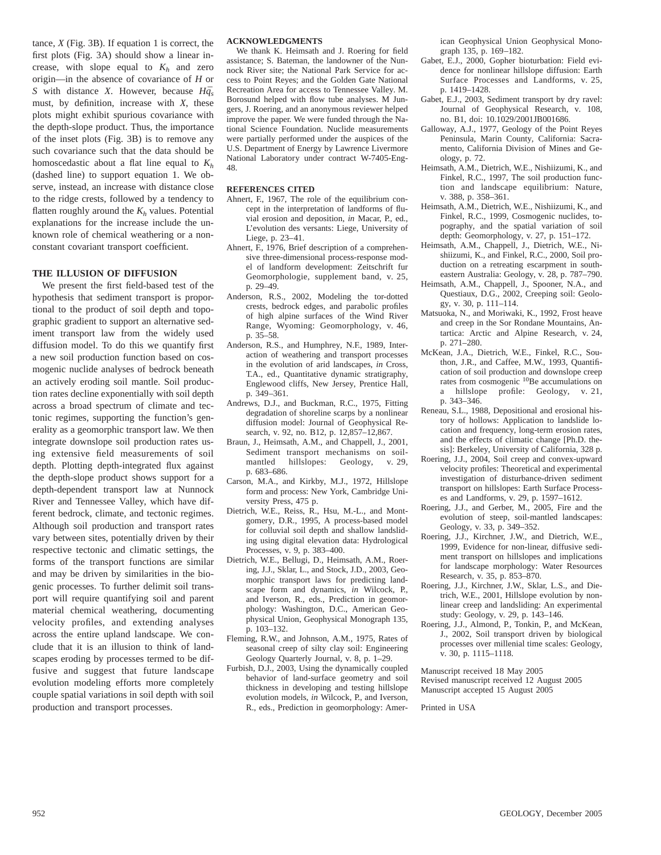tance,  $X$  (Fig. 3B). If equation 1 is correct, the first plots (Fig. 3A) should show a linear increase, with slope equal to  $K_h$  and zero origin—in the absence of covariance of *H* or *S* with distance *X*. However, because  $H\bar{q}_s$ must, by definition, increase with *X*, these plots might exhibit spurious covariance with the depth-slope product. Thus, the importance of the inset plots (Fig. 3B) is to remove any such covariance such that the data should be homoscedastic about a flat line equal to *Kh* (dashed line) to support equation 1. We observe, instead, an increase with distance close to the ridge crests, followed by a tendency to flatten roughly around the  $K_h$  values. Potential explanations for the increase include the unknown role of chemical weathering or a nonconstant covariant transport coefficient.

#### **THE ILLUSION OF DIFFUSION**

We present the first field-based test of the hypothesis that sediment transport is proportional to the product of soil depth and topographic gradient to support an alternative sediment transport law from the widely used diffusion model. To do this we quantify first a new soil production function based on cosmogenic nuclide analyses of bedrock beneath an actively eroding soil mantle. Soil production rates decline exponentially with soil depth across a broad spectrum of climate and tectonic regimes, supporting the function's generality as a geomorphic transport law. We then integrate downslope soil production rates using extensive field measurements of soil depth. Plotting depth-integrated flux against the depth-slope product shows support for a depth-dependent transport law at Nunnock River and Tennessee Valley, which have different bedrock, climate, and tectonic regimes. Although soil production and transport rates vary between sites, potentially driven by their respective tectonic and climatic settings, the forms of the transport functions are similar and may be driven by similarities in the biogenic processes. To further delimit soil transport will require quantifying soil and parent material chemical weathering, documenting velocity profiles, and extending analyses across the entire upland landscape. We conclude that it is an illusion to think of landscapes eroding by processes termed to be diffusive and suggest that future landscape evolution modeling efforts more completely couple spatial variations in soil depth with soil production and transport processes.

#### **ACKNOWLEDGMENTS**

We thank K. Heimsath and J. Roering for field assistance; S. Bateman, the landowner of the Nunnock River site; the National Park Service for access to Point Reyes; and the Golden Gate National Recreation Area for access to Tennessee Valley. M. Borosund helped with flow tube analyses. M Jungers, J. Roering, and an anonymous reviewer helped improve the paper. We were funded through the National Science Foundation. Nuclide measurements were partially performed under the auspices of the U.S. Department of Energy by Lawrence Livermore National Laboratory under contract W-7405-Eng-48.

#### **REFERENCES CITED**

- Ahnert, F., 1967, The role of the equilibrium concept in the interpretation of landforms of fluvial erosion and deposition, *in* Macar, P., ed., L'evolution des versants: Liege, University of Liege, p. 23–41.
- Ahnert, F., 1976, Brief description of a comprehensive three-dimensional process-response model of landform development: Zeitschrift fur Geomorphologie, supplement band, v. 25, p. 29–49.
- Anderson, R.S., 2002, Modeling the tor-dotted crests, bedrock edges, and parabolic profiles of high alpine surfaces of the Wind River Range, Wyoming: Geomorphology, v. 46, p. 35–58.
- Anderson, R.S., and Humphrey, N.F., 1989, Interaction of weathering and transport processes in the evolution of arid landscapes, *in* Cross, T.A., ed., Quantitative dynamic stratigraphy, Englewood cliffs, New Jersey, Prentice Hall, p. 349–361.
- Andrews, D.J., and Buckman, R.C., 1975, Fitting degradation of shoreline scarps by a nonlinear diffusion model: Journal of Geophysical Research, v. 92, no. B12, p. 12,857–12,867.
- Braun, J., Heimsath, A.M., and Chappell, J., 2001, Sediment transport mechanisms on soil-<br>mantled hillslopes: Geology, v. 29, hillslopes: Geology, p. 683–686.
- Carson, M.A., and Kirkby, M.J., 1972, Hillslope form and process: New York, Cambridge University Press, 475 p.
- Dietrich, W.E., Reiss, R., Hsu, M.-L., and Montgomery, D.R., 1995, A process-based model for colluvial soil depth and shallow landsliding using digital elevation data: Hydrological Processes, v. 9, p. 383–400.
- Dietrich, W.E., Bellugi, D., Heimsath, A.M., Roering, J.J., Sklar, L., and Stock, J.D., 2003, Geomorphic transport laws for predicting landscape form and dynamics, *in* Wilcock, P., and Iverson, R., eds., Prediction in geomorphology: Washington, D.C., American Geophysical Union, Geophysical Monograph 135, p. 103–132.
- Fleming, R.W., and Johnson, A.M., 1975, Rates of seasonal creep of silty clay soil: Engineering Geology Quarterly Journal, v. 8, p. 1–29.
- Furbish, D.J., 2003, Using the dynamically coupled behavior of land-surface geometry and soil thickness in developing and testing hillslope evolution models, *in* Wilcock, P., and Iverson, R., eds., Prediction in geomorphology: Amer-

ican Geophysical Union Geophysical Monograph 135, p. 169–182.

- Gabet, E.J., 2000, Gopher bioturbation: Field evidence for nonlinear hillslope diffusion: Earth Surface Processes and Landforms, v. 25, p. 1419–1428.
- Gabet, E.J., 2003, Sediment transport by dry ravel: Journal of Geophysical Research, v. 108, no. B1, doi: 10.1029/2001JB001686.
- Galloway, A.J., 1977, Geology of the Point Reyes Peninsula, Marin County, California: Sacramento, California Division of Mines and Geology, p. 72.
- Heimsath, A.M., Dietrich, W.E., Nishiizumi, K., and Finkel, R.C., 1997, The soil production function and landscape equilibrium: Nature, v. 388, p. 358–361.
- Heimsath, A.M., Dietrich, W.E., Nishiizumi, K., and Finkel, R.C., 1999, Cosmogenic nuclides, topography, and the spatial variation of soil depth: Geomorphology, v. 27, p. 151–172.
- Heimsath, A.M., Chappell, J., Dietrich, W.E., Nishiizumi, K., and Finkel, R.C., 2000, Soil production on a retreating escarpment in southeastern Australia: Geology, v. 28, p. 787–790.
- Heimsath, A.M., Chappell, J., Spooner, N.A., and Questiaux, D.G., 2002, Creeping soil: Geology, v. 30, p. 111–114.
- Matsuoka, N., and Moriwaki, K., 1992, Frost heave and creep in the Sor Rondane Mountains, Antartica: Arctic and Alpine Research, v. 24, p. 271–280.
- McKean, J.A., Dietrich, W.E., Finkel, R.C., Southon, J.R., and Caffee, M.W., 1993, Quantification of soil production and downslope creep rates from cosmogenic 10Be accumulations on a hillslope profile: Geology, v. 21, p. 343–346.
- Reneau, S.L., 1988, Depositional and erosional history of hollows: Application to landslide location and frequency, long-term erosion rates, and the effects of climatic change [Ph.D. thesis]: Berkeley, University of California, 328 p.
- Roering, J.J., 2004, Soil creep and convex-upward velocity profiles: Theoretical and experimental investigation of disturbance-driven sediment transport on hillslopes: Earth Surface Processes and Landforms, v. 29, p. 1597–1612.
- Roering, J.J., and Gerber, M., 2005, Fire and the evolution of steep, soil-mantled landscapes: Geology, v. 33, p. 349–352.
- Roering, J.J., Kirchner, J.W., and Dietrich, W.E., 1999, Evidence for non-linear, diffusive sediment transport on hillslopes and implications for landscape morphology: Water Resources Research, v. 35, p. 853–870.
- Roering, J.J., Kirchner, J.W., Sklar, L.S., and Dietrich, W.E., 2001, Hillslope evolution by nonlinear creep and landsliding: An experimental study: Geology, v. 29, p. 143–146.
- Roering, J.J., Almond, P., Tonkin, P., and McKean, J., 2002, Soil transport driven by biological processes over millenial time scales: Geology, v. 30, p. 1115–1118.

Manuscript received 18 May 2005 Revised manuscript received 12 August 2005 Manuscript accepted 15 August 2005

Printed in USA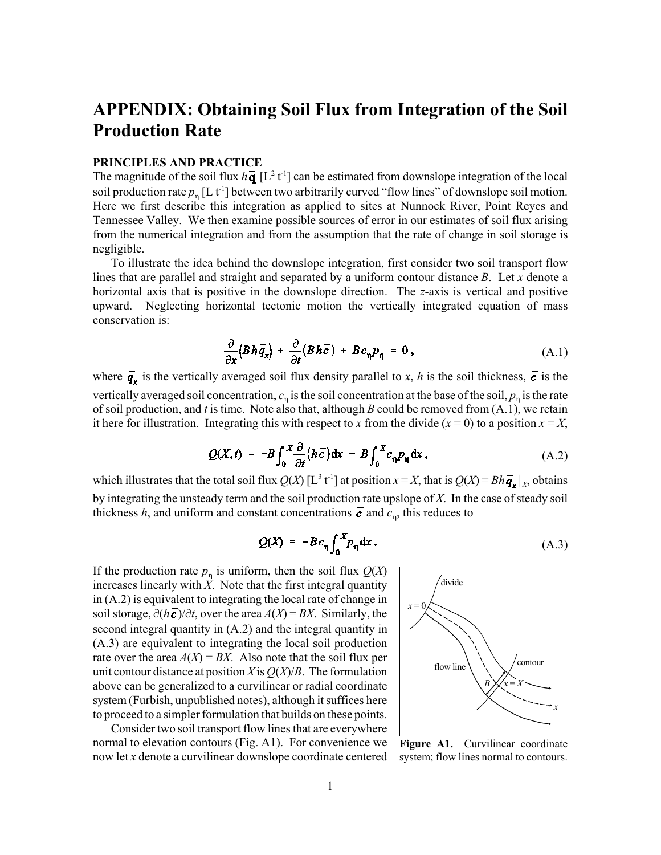## **APPENDIX: Obtaining Soil Flux from Integration of the Soil Production Rate**

## **PRINCIPLES AND PRACTICE**

The magnitude of the soil flux  $h\overline{q}$  [L<sup>2</sup> t<sup>-1</sup>] can be estimated from downslope integration of the local soil production rate  $p_n[L t^{-1}]$  between two arbitrarily curved "flow lines" of downslope soil motion. Here we first describe this integration as applied to sites at Nunnock River, Point Reyes and Tennessee Valley. We then examine possible sources of error in our estimates of soil flux arising from the numerical integration and from the assumption that the rate of change in soil storage is negligible.

To illustrate the idea behind the downslope integration, first consider two soil transport flow lines that are parallel and straight and separated by a uniform contour distance *B*. Let *x* denote a horizontal axis that is positive in the downslope direction. The *z*-axis is vertical and positive upward. Neglecting horizontal tectonic motion the vertically integrated equation of mass conservation is:

$$
\frac{\partial}{\partial x}\left(Bh\overline{q}_x\right) + \frac{\partial}{\partial t}\left(Bh\overline{c}\right) + Bc_{\eta}p_{\eta} = 0, \qquad (A.1)
$$

where  $\overline{q}_x$  is the vertically averaged soil flux density parallel to *x*, *h* is the soil thickness,  $\overline{c}$  is the vertically averaged soil concentration,  $c_n$  is the soil concentration at the base of the soil,  $p_n$  is the rate of soil production, and *t* is time. Note also that, although *B* could be removed from (A.1), we retain it here for illustration. Integrating this with respect to *x* from the divide  $(x = 0)$  to a position  $x = X$ ,

$$
Q(X,t) = -B \int_0^X \frac{\partial}{\partial t} (h \overline{c}) dx - B \int_0^X c_{\eta} p_{\eta} dx, \qquad (A.2)
$$

which illustrates that the total soil flux  $Q(X)$  [L<sup>3</sup> t<sup>-1</sup>] at position  $x = X$ , that is  $Q(X) = Bh\overline{q}_x|_X$ , obtains by integrating the unsteady term and the soil production rate upslope of *X*. In the case of steady soil thickness *h*, and uniform and constant concentrations  $\vec{c}$  and  $\vec{c}_n$ , this reduces to

$$
Q(X) = -B c_{\eta} \int_0^X p_{\eta} dx . \qquad (A.3)
$$

If the production rate  $p_n$  is uniform, then the soil flux  $Q(X)$ increases linearly with *X*. Note that the first integral quantity in (A.2) is equivalent to integrating the local rate of change in soil storage,  $\partial (h\vec{c})/\partial t$ , over the area  $A(X) = BX$ . Similarly, the second integral quantity in (A.2) and the integral quantity in (A.3) are equivalent to integrating the local soil production rate over the area  $A(X) = BX$ . Also note that the soil flux per unit contour distance at position *X* is  $O(X)/B$ . The formulation above can be generalized to a curvilinear or radial coordinate system (Furbish, unpublished notes), although it suffices here to proceed to a simpler formulation that builds on these points.

Consider two soil transport flow lines that are everywhere normal to elevation contours (Fig. A1). For convenience we now let *x* denote a curvilinear downslope coordinate centered



Figure A1. Curvilinear coordinate system; flow lines normal to contours.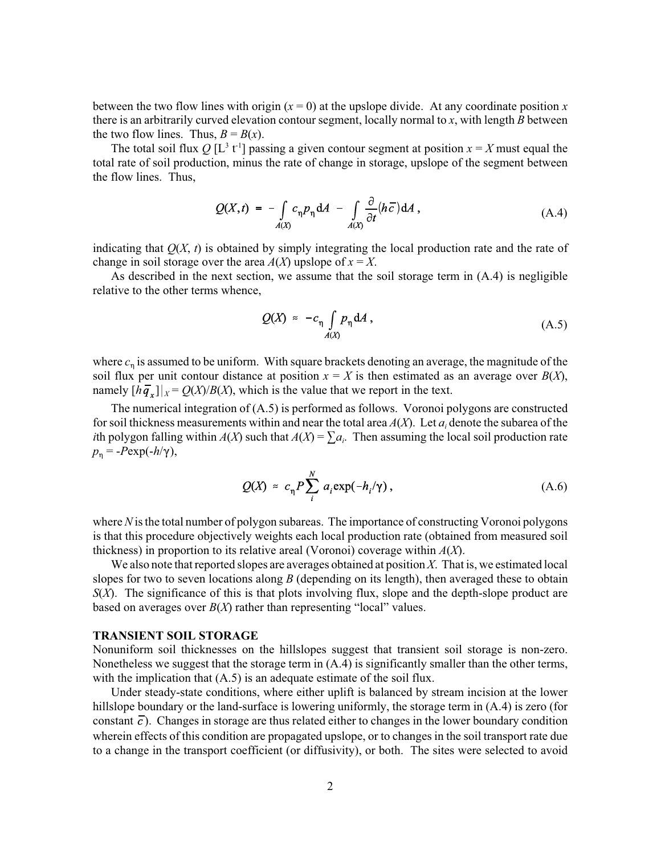between the two flow lines with origin  $(x = 0)$  at the upslope divide. At any coordinate position *x* there is an arbitrarily curved elevation contour segment, locally normal to *x*, with length *B* between the two flow lines. Thus,  $B = B(x)$ .

The total soil flux  $Q [L^3 t^1]$  passing a given contour segment at position  $x = X$  must equal the total rate of soil production, minus the rate of change in storage, upslope of the segment between the flow lines. Thus,

$$
Q(X,t) = -\int_{A(X)} c_{\eta} p_{\eta} dA - \int_{A(X)} \frac{\partial}{\partial t} (h \overline{c}) dA,
$$
 (A.4)

indicating that  $Q(X, t)$  is obtained by simply integrating the local production rate and the rate of change in soil storage over the area  $A(X)$  upslope of  $x = X$ .

As described in the next section, we assume that the soil storage term in (A.4) is negligible relative to the other terms whence,

$$
Q(X) \approx -c_{\eta} \int_{A(X)} p_{\eta} dA , \qquad (A.5)
$$

where  $c_n$  is assumed to be uniform. With square brackets denoting an average, the magnitude of the soil flux per unit contour distance at position  $x = X$  is then estimated as an average over  $B(X)$ , namely  $[h\vec{q}_x]|_X = Q(X)/B(X)$ , which is the value that we report in the text.

The numerical integration of (A.5) is performed as follows. Voronoi polygons are constructed for soil thickness measurements within and near the total area  $A(X)$ . Let  $a_i$  denote the subarea of the *i*th polygon falling within  $A(X)$  such that  $A(X) = \sum a_i$ . Then assuming the local soil production rate  $p_n = -P \exp(-h/\gamma),$ 

$$
Q(X) \approx c_{\eta} P \sum_{i}^{N} a_{i} \exp(-h_{i}/\gamma), \qquad (A.6)
$$

where *N* is the total number of polygon subareas. The importance of constructing Voronoi polygons is that this procedure objectively weights each local production rate (obtained from measured soil thickness) in proportion to its relative areal (Voronoi) coverage within *A*(*X*).

We also note that reported slopes are averages obtained at position *X*. That is, we estimated local slopes for two to seven locations along *B* (depending on its length), then averaged these to obtain *S*(*X*). The significance of this is that plots involving flux, slope and the depth-slope product are based on averages over  $B(X)$  rather than representing "local" values.

## **TRANSIENT SOIL STORAGE**

Nonuniform soil thicknesses on the hillslopes suggest that transient soil storage is non-zero. Nonetheless we suggest that the storage term in (A.4) is significantly smaller than the other terms, with the implication that  $(A.5)$  is an adequate estimate of the soil flux.

Under steady-state conditions, where either uplift is balanced by stream incision at the lower hillslope boundary or the land-surface is lowering uniformly, the storage term in  $(A.4)$  is zero (for constant  $\bar{c}$ ). Changes in storage are thus related either to changes in the lower boundary condition wherein effects of this condition are propagated upslope, or to changes in the soil transport rate due to a change in the transport coefficient (or diffusivity), or both. The sites were selected to avoid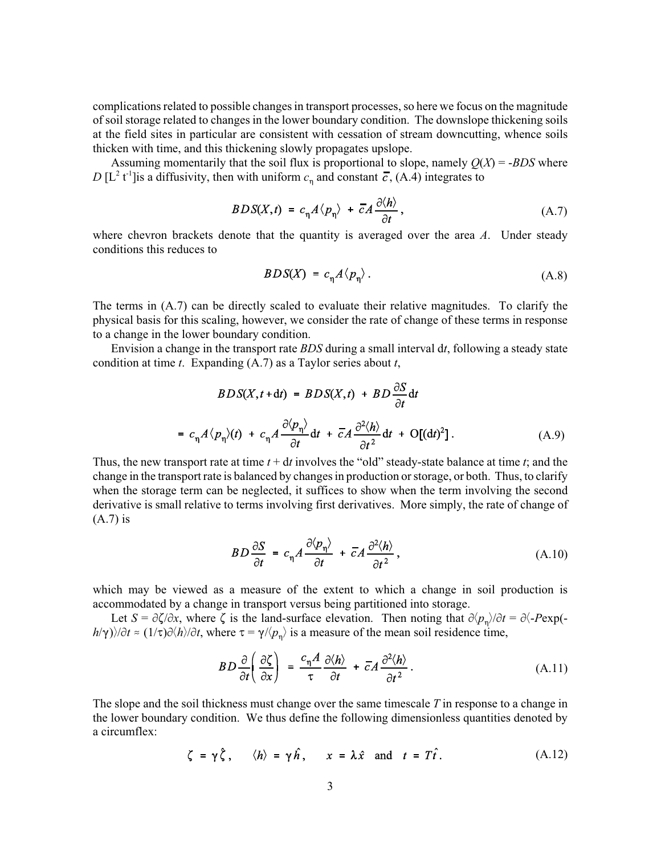complications related to possible changes in transport processes, so here we focus on the magnitude of soil storage related to changes in the lower boundary condition. The downslope thickening soils at the field sites in particular are consistent with cessation of stream downcutting, whence soils thicken with time, and this thickening slowly propagates upslope.

Assuming momentarily that the soil flux is proportional to slope, namely  $Q(X) = -BDS$  where *D* [L<sup>2</sup> t<sup>-1</sup>]is a diffusivity, then with uniform  $c_n$  and constant  $\vec{c}$ , (A.4) integrates to

$$
BDS(X,t) = c_{\eta} A \langle p_{\eta} \rangle + \overline{c} A \frac{\partial \langle h \rangle}{\partial t}, \qquad (A.7)
$$

where chevron brackets denote that the quantity is averaged over the area *A*. Under steady conditions this reduces to

$$
BDS(X) = c_n A \langle p_n \rangle. \tag{A.8}
$$

The terms in (A.7) can be directly scaled to evaluate their relative magnitudes. To clarify the physical basis for this scaling, however, we consider the rate of change of these terms in response to a change in the lower boundary condition.

Envision a change in the transport rate *BDS* during a small interval d*t*, following a steady state condition at time *t*. Expanding (A.7) as a Taylor series about *t*,

$$
BDS(X, t + dt) = BDS(X, t) + BD \frac{\partial S}{\partial t} dt
$$
  
=  $c_{\eta} A \langle p_{\eta} \rangle(t) + c_{\eta} A \frac{\partial \langle p_{\eta} \rangle}{\partial t} dt + \overline{c} A \frac{\partial^2 \langle h \rangle}{\partial t^2} dt + O[(dt)^2].$  (A.9)

Thus, the new transport rate at time  $t + dt$  involves the "old" steady-state balance at time  $t$ ; and the change in the transport rate is balanced by changes in production or storage, or both. Thus, to clarify when the storage term can be neglected, it suffices to show when the term involving the second derivative is small relative to terms involving first derivatives. More simply, the rate of change of (A.7) is

$$
BD\frac{\partial S}{\partial t} = c_{\eta}A\frac{\partial \langle p_{\eta} \rangle}{\partial t} + \overline{c}A\frac{\partial^2 \langle h \rangle}{\partial t^2}, \qquad (A.10)
$$

which may be viewed as a measure of the extent to which a change in soil production is accommodated by a change in transport versus being partitioned into storage.

Let  $S = \partial \zeta / \partial x$ , where  $\zeta$  is the land-surface elevation. Then noting that  $\partial \langle p_n \rangle / \partial t = \partial \langle -P \exp(-\zeta) \rangle$  $h/\gamma$ )/ $\partial t \approx (1/\tau)\partial\langle h\rangle/\partial t$ , where  $\tau = \gamma/\langle p_\eta \rangle$  is a measure of the mean soil residence time,

$$
BD\frac{\partial}{\partial t}\left(\frac{\partial \zeta}{\partial x}\right) = \frac{c_{\eta}A}{\tau}\frac{\partial \langle h \rangle}{\partial t} + \overline{c}A\frac{\partial^2 \langle h \rangle}{\partial t^2}.
$$
 (A.11)

The slope and the soil thickness must change over the same timescale *T* in response to a change in the lower boundary condition. We thus define the following dimensionless quantities denoted by a circumflex:

$$
\zeta = \gamma \hat{\zeta}, \qquad \langle h \rangle = \gamma \hat{h}, \qquad x = \lambda \hat{x} \quad \text{and} \quad t = T \hat{t}. \tag{A.12}
$$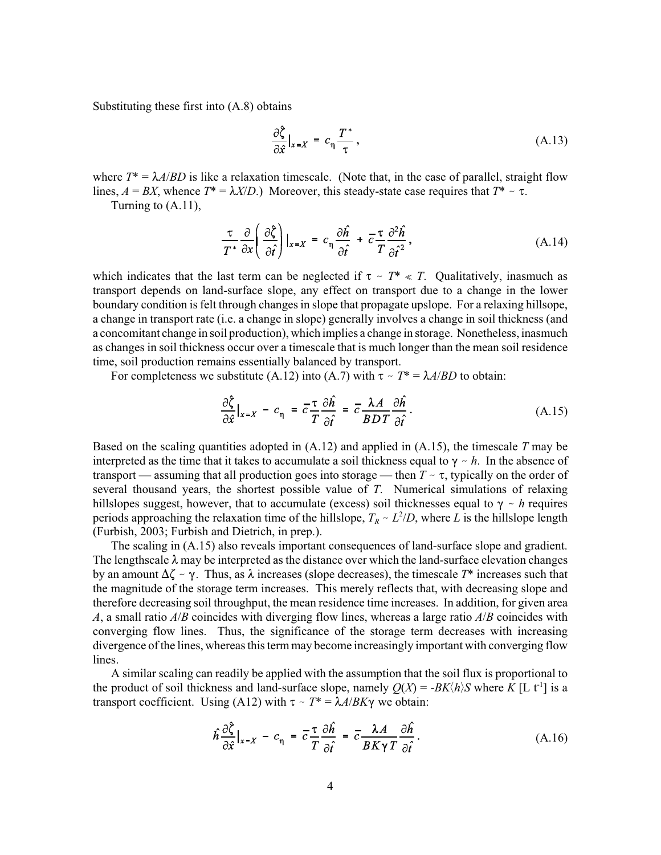Substituting these first into (A.8) obtains

$$
\frac{\partial \xi}{\partial \hat{x}}|_{x=X} = c_{\eta} \frac{T^*}{\tau},\tag{A.13}
$$

where  $T^* = \lambda A / BD$  is like a relaxation timescale. (Note that, in the case of parallel, straight flow lines,  $A = BX$ , whence  $T^* = \lambda X/D$ .) Moreover, this steady-state case requires that  $T^* \sim \tau$ .

Turning to (A.11),

$$
\frac{\tau}{T^*} \frac{\partial}{\partial x} \left( \frac{\partial \xi}{\partial \hat{t}} \right) \Big|_{x=X} = c_{\eta} \frac{\partial \hat{h}}{\partial \hat{t}} + \overline{c} \frac{\tau}{T} \frac{\partial^2 \hat{h}}{\partial \hat{t}^2}, \tag{A.14}
$$

which indicates that the last term can be neglected if  $\tau \sim T^* \ll T$ . Qualitatively, inasmuch as transport depends on land-surface slope, any effect on transport due to a change in the lower boundary condition is felt through changes in slope that propagate upslope. For a relaxing hillsope, a change in transport rate (i.e. a change in slope) generally involves a change in soil thickness (and a concomitant change in soil production), which implies a change in storage. Nonetheless, inasmuch as changes in soil thickness occur over a timescale that is much longer than the mean soil residence time, soil production remains essentially balanced by transport.

For completeness we substitute (A.12) into (A.7) with  $\tau \sim T^* = \lambda A / BD$  to obtain:

$$
\frac{\partial \xi}{\partial \hat{x}}|_{x=X} - c_{\eta} = \overline{c} \frac{\tau}{T} \frac{\partial \hat{h}}{\partial \hat{t}} = \overline{c} \frac{\lambda A}{BDT} \frac{\partial \hat{h}}{\partial \hat{t}}.
$$
\n(A.15)

Based on the scaling quantities adopted in (A.12) and applied in (A.15), the timescale *T* may be interpreted as the time that it takes to accumulate a soil thickness equal to  $\gamma \sim h$ . In the absence of transport — assuming that all production goes into storage — then  $T \sim \tau$ , typically on the order of several thousand years, the shortest possible value of *T*. Numerical simulations of relaxing hillslopes suggest, however, that to accumulate (excess) soil thicknesses equal to  $\gamma \sim h$  requires periods approaching the relaxation time of the hillslope,  $T_R \sim L^2/D$ , where *L* is the hillslope length (Furbish, 2003; Furbish and Dietrich, in prep.).

The scaling in (A.15) also reveals important consequences of land-surface slope and gradient. The lengthscale  $\lambda$  may be interpreted as the distance over which the land-surface elevation changes by an amount  $\Delta \zeta \sim \gamma$ . Thus, as  $\lambda$  increases (slope decreases), the timescale  $T^*$  increases such that the magnitude of the storage term increases. This merely reflects that, with decreasing slope and therefore decreasing soil throughput, the mean residence time increases. In addition, for given area *A*, a small ratio *A*/*B* coincides with diverging flow lines, whereas a large ratio *A*/*B* coincides with converging flow lines. Thus, the significance of the storage term decreases with increasing divergence of the lines, whereas this term may become increasingly important with converging flow lines.

A similar scaling can readily be applied with the assumption that the soil flux is proportional to the product of soil thickness and land-surface slope, namely  $Q(X) = -BK(h)S$  where K [L t<sup>-1</sup>] is a transport coefficient. Using (A12) with  $\tau \sim T^* = \lambda A/BK\gamma$  we obtain:

$$
\hat{h}\frac{\partial \hat{\zeta}}{\partial \hat{x}}|_{x=X} - c_{\eta} = \bar{c}\frac{\tau}{T}\frac{\partial \hat{h}}{\partial \hat{t}} = \bar{c}\frac{\lambda A}{B K \gamma T}\frac{\partial \hat{h}}{\partial \hat{t}}.
$$
\n(A.16)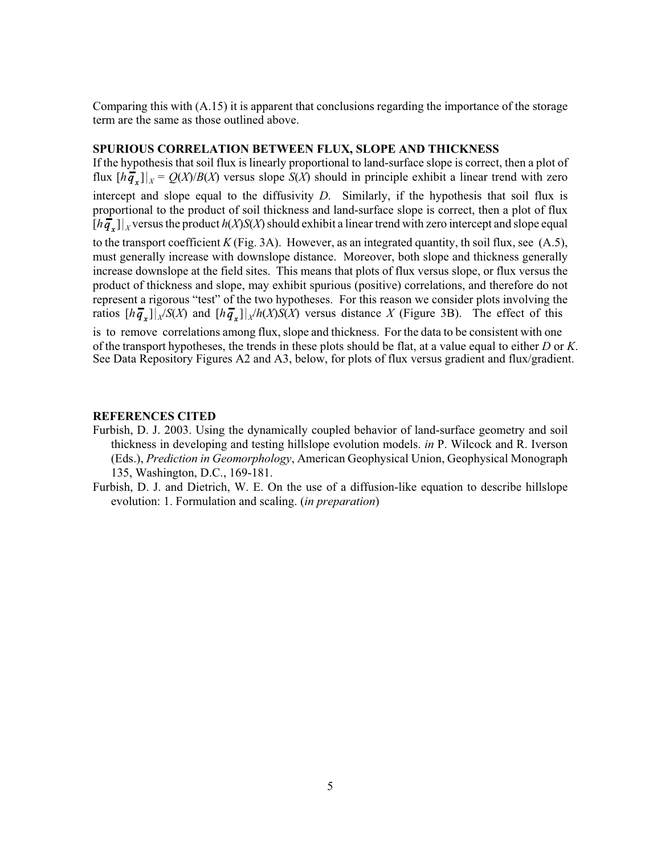Comparing this with (A.15) it is apparent that conclusions regarding the importance of the storage term are the same as those outlined above.

## **SPURIOUS CORRELATION BETWEEN FLUX, SLOPE AND THICKNESS**

If the hypothesis that soil flux is linearly proportional to land-surface slope is correct, then a plot of flux  $[h\vec{q}_r]|_X = Q(X)/B(X)$  versus slope  $S(X)$  should in principle exhibit a linear trend with zero intercept and slope equal to the diffusivity *D*. Similarly, if the hypothesis that soil flux is proportional to the product of soil thickness and land-surface slope is correct, then a plot of flux  $[h\vec{q}_x]$  *x* versus the product  $h(X)S(X)$  should exhibit a linear trend with zero intercept and slope equal to the transport coefficient *K* (Fig. 3A). However, as an integrated quantity, th soil flux, see (A.5), must generally increase with downslope distance. Moreover, both slope and thickness generally increase downslope at the field sites. This means that plots of flux versus slope, or flux versus the product of thickness and slope, may exhibit spurious (positive) correlations, and therefore do not represent a rigorous "test" of the two hypotheses. For this reason we consider plots involving the ratios  $[h\vec{q}_x] |_{X} / S(X)$  and  $[h\vec{q}_x] |_{X} / h(X) S(X)$  versus distance *X* (Figure 3B). The effect of this is to remove correlations among flux, slope and thickness. For the data to be consistent with one of the transport hypotheses, the trends in these plots should be flat, at a value equal to either *D* or *K*. See Data Repository Figures A2 and A3, below, for plots of flux versus gradient and flux/gradient.

## **REFERENCES CITED**

- Furbish, D. J. 2003. Using the dynamically coupled behavior of land-surface geometry and soil thickness in developing and testing hillslope evolution models. *in* P. Wilcock and R. Iverson (Eds.), *Prediction in Geomorphology*, American Geophysical Union, Geophysical Monograph 135, Washington, D.C., 169-181.
- Furbish, D. J. and Dietrich, W. E. On the use of a diffusion-like equation to describe hillslope evolution: 1. Formulation and scaling. (*in preparation*)